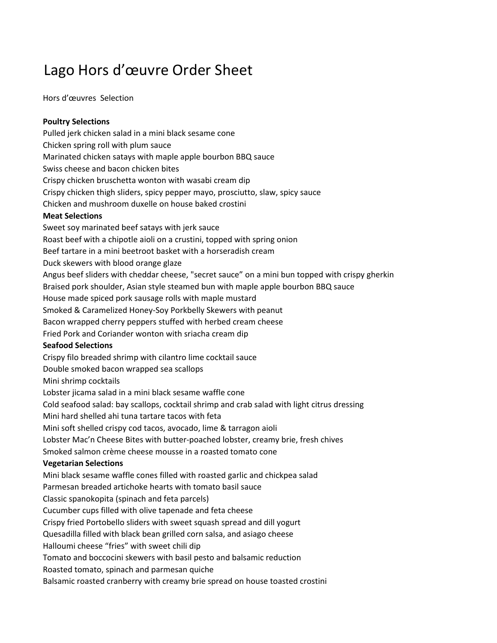# Lago Hors d'œuvre Order Sheet

Hors d'œuvres Selection

# **Poultry Selections**

Pulled jerk chicken salad in a mini black sesame cone Chicken spring roll with plum sauce Marinated chicken satays with maple apple bourbon BBQ sauce Swiss cheese and bacon chicken bites Crispy chicken bruschetta wonton with wasabi cream dip Crispy chicken thigh sliders, spicy pepper mayo, prosciutto, slaw, spicy sauce Chicken and mushroom duxelle on house baked crostini **Meat Selections**  Sweet soy marinated beef satays with jerk sauce Roast beef with a chipotle aioli on a crustini, topped with spring onion Beef tartare in a mini beetroot basket with a horseradish cream Duck skewers with blood orange glaze Angus beef sliders with cheddar cheese, "secret sauce" on a mini bun topped with crispy gherkin Braised pork shoulder, Asian style steamed bun with maple apple bourbon BBQ sauce House made spiced pork sausage rolls with maple mustard Smoked & Caramelized Honey-Soy Porkbelly Skewers with peanut Bacon wrapped cherry peppers stuffed with herbed cream cheese Fried Pork and Coriander wonton with sriacha cream dip **Seafood Selections**  Crispy filo breaded shrimp with cilantro lime cocktail sauce Double smoked bacon wrapped sea scallops Mini shrimp cocktails Lobster jicama salad in a mini black sesame waffle cone Cold seafood salad: bay scallops, cocktail shrimp and crab salad with light citrus dressing Mini hard shelled ahi tuna tartare tacos with feta Mini soft shelled crispy cod tacos, avocado, lime & tarragon aioli Lobster Mac'n Cheese Bites with butter-poached lobster, creamy brie, fresh chives Smoked salmon crème cheese mousse in a roasted tomato cone **Vegetarian Selections**  Mini black sesame waffle cones filled with roasted garlic and chickpea salad Parmesan breaded artichoke hearts with tomato basil sauce Classic spanokopita (spinach and feta parcels) Cucumber cups filled with olive tapenade and feta cheese Crispy fried Portobello sliders with sweet squash spread and dill yogurt Quesadilla filled with black bean grilled corn salsa, and asiago cheese Halloumi cheese "fries" with sweet chili dip Tomato and boccocini skewers with basil pesto and balsamic reduction Roasted tomato, spinach and parmesan quiche Balsamic roasted cranberry with creamy brie spread on house toasted crostini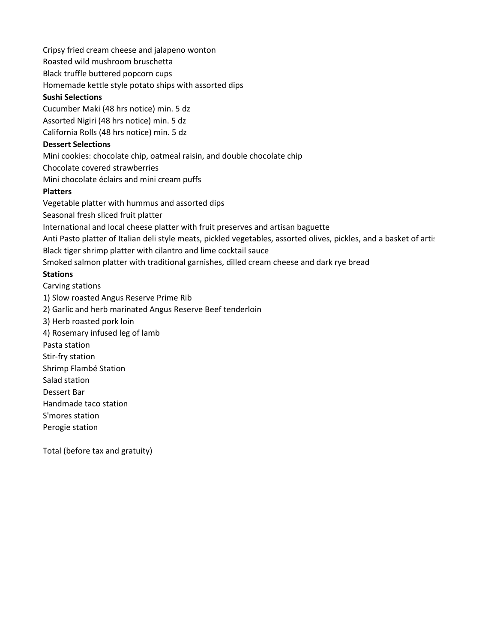Cripsy fried cream cheese and jalapeno wonton

Roasted wild mushroom bruschetta

Black truffle buttered popcorn cups

Homemade kettle style potato ships with assorted dips

#### **Sushi Selections**

Cucumber Maki (48 hrs notice) min. 5 dz Assorted Nigiri (48 hrs notice) min. 5 dz California Rolls (48 hrs notice) min. 5 dz

### **Dessert Selections**

Mini cookies: chocolate chip, oatmeal raisin, and double chocolate chip

Chocolate covered strawberries

Mini chocolate éclairs and mini cream puffs

# **Platters**

Vegetable platter with hummus and assorted dips

Seasonal fresh sliced fruit platter

International and local cheese platter with fruit preserves and artisan baguette

Anti Pasto platter of Italian deli style meats, pickled vegetables, assorted olives, pickles, and a basket of artis Black tiger shrimp platter with cilantro and lime cocktail sauce

Smoked salmon platter with traditional garnishes, dilled cream cheese and dark rye bread

# **Stations**

Carving stations 1) Slow roasted Angus Reserve Prime Rib 2) Garlic and herb marinated Angus Reserve Beef tenderloin 3) Herb roasted pork loin 4) Rosemary infused leg of lamb Pasta station Stir-fry station

Shrimp Flambé Station

Salad station

Dessert Bar

Handmade taco station

S'mores station

Perogie station

Total (before tax and gratuity)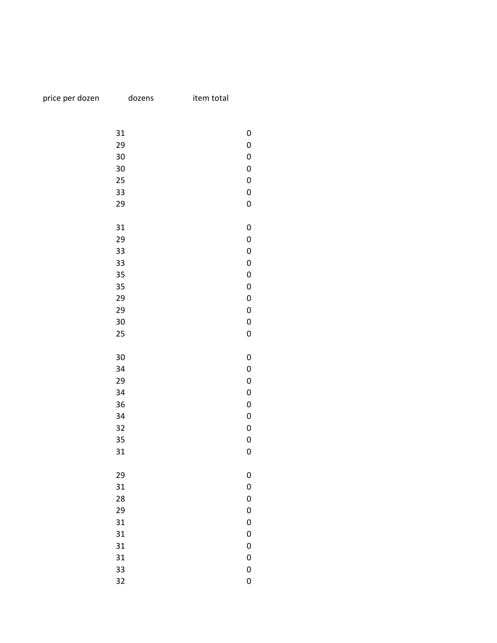|  |  |  | price per dozen | c |
|--|--|--|-----------------|---|
|--|--|--|-----------------|---|

dozens item total

| 31<br>0<br>0<br>29<br>30<br>0<br>30<br>0<br>25<br>0<br>33<br>0<br>29<br>0<br>31<br>0<br>29<br>0<br>33<br>0<br>33<br>0<br>35<br>0<br>35<br>0<br>29<br>0<br>29<br>0<br>30<br>0<br>25<br>0<br>30<br>0<br>0<br>34<br>29<br>0<br>34<br>0<br>36<br>0<br>34<br>0<br>32<br>0<br>35<br>0<br>0<br>31<br>29<br>0<br>31<br>$\boldsymbol{0}$<br>28<br>0<br>0<br>29<br>0<br>31<br>0<br>31<br>31<br>0<br>31<br>0 |  |
|---------------------------------------------------------------------------------------------------------------------------------------------------------------------------------------------------------------------------------------------------------------------------------------------------------------------------------------------------------------------------------------------------|--|
|                                                                                                                                                                                                                                                                                                                                                                                                   |  |
|                                                                                                                                                                                                                                                                                                                                                                                                   |  |
|                                                                                                                                                                                                                                                                                                                                                                                                   |  |
|                                                                                                                                                                                                                                                                                                                                                                                                   |  |
|                                                                                                                                                                                                                                                                                                                                                                                                   |  |
|                                                                                                                                                                                                                                                                                                                                                                                                   |  |
|                                                                                                                                                                                                                                                                                                                                                                                                   |  |
|                                                                                                                                                                                                                                                                                                                                                                                                   |  |
|                                                                                                                                                                                                                                                                                                                                                                                                   |  |
|                                                                                                                                                                                                                                                                                                                                                                                                   |  |
|                                                                                                                                                                                                                                                                                                                                                                                                   |  |
|                                                                                                                                                                                                                                                                                                                                                                                                   |  |
|                                                                                                                                                                                                                                                                                                                                                                                                   |  |
|                                                                                                                                                                                                                                                                                                                                                                                                   |  |
|                                                                                                                                                                                                                                                                                                                                                                                                   |  |
|                                                                                                                                                                                                                                                                                                                                                                                                   |  |
|                                                                                                                                                                                                                                                                                                                                                                                                   |  |
|                                                                                                                                                                                                                                                                                                                                                                                                   |  |
|                                                                                                                                                                                                                                                                                                                                                                                                   |  |
|                                                                                                                                                                                                                                                                                                                                                                                                   |  |
|                                                                                                                                                                                                                                                                                                                                                                                                   |  |
|                                                                                                                                                                                                                                                                                                                                                                                                   |  |
|                                                                                                                                                                                                                                                                                                                                                                                                   |  |
|                                                                                                                                                                                                                                                                                                                                                                                                   |  |
|                                                                                                                                                                                                                                                                                                                                                                                                   |  |
|                                                                                                                                                                                                                                                                                                                                                                                                   |  |
|                                                                                                                                                                                                                                                                                                                                                                                                   |  |
|                                                                                                                                                                                                                                                                                                                                                                                                   |  |
|                                                                                                                                                                                                                                                                                                                                                                                                   |  |
|                                                                                                                                                                                                                                                                                                                                                                                                   |  |
|                                                                                                                                                                                                                                                                                                                                                                                                   |  |
|                                                                                                                                                                                                                                                                                                                                                                                                   |  |
|                                                                                                                                                                                                                                                                                                                                                                                                   |  |
|                                                                                                                                                                                                                                                                                                                                                                                                   |  |
|                                                                                                                                                                                                                                                                                                                                                                                                   |  |
|                                                                                                                                                                                                                                                                                                                                                                                                   |  |
|                                                                                                                                                                                                                                                                                                                                                                                                   |  |
| 33<br>0                                                                                                                                                                                                                                                                                                                                                                                           |  |
| 32<br>0                                                                                                                                                                                                                                                                                                                                                                                           |  |
|                                                                                                                                                                                                                                                                                                                                                                                                   |  |